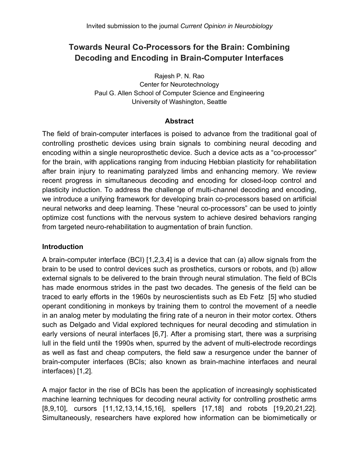# **Towards Neural Co-Processors for the Brain: Combining Decoding and Encoding in Brain-Computer Interfaces**

Rajesh P. N. Rao Center for Neurotechnology Paul G. Allen School of Computer Science and Engineering University of Washington, Seattle

#### **Abstract**

The field of brain-computer interfaces is poised to advance from the traditional goal of controlling prosthetic devices using brain signals to combining neural decoding and encoding within a single neuroprosthetic device. Such a device acts as a "co-processor" for the brain, with applications ranging from inducing Hebbian plasticity for rehabilitation after brain injury to reanimating paralyzed limbs and enhancing memory. We review recent progress in simultaneous decoding and encoding for closed-loop control and plasticity induction. To address the challenge of multi-channel decoding and encoding, we introduce a unifying framework for developing brain co-processors based on artificial neural networks and deep learning. These "neural co-processors" can be used to jointly optimize cost functions with the nervous system to achieve desired behaviors ranging from targeted neuro-rehabilitation to augmentation of brain function.

#### **Introduction**

A brain-computer interface (BCI) [1,2,3,4] is a device that can (a) allow signals from the brain to be used to control devices such as prosthetics, cursors or robots, and (b) allow external signals to be delivered to the brain through neural stimulation. The field of BCIs has made enormous strides in the past two decades. The genesis of the field can be traced to early efforts in the 1960s by neuroscientists such as Eb Fetz [5] who studied operant conditioning in monkeys by training them to control the movement of a needle in an analog meter by modulating the firing rate of a neuron in their motor cortex. Others such as Delgado and Vidal explored techniques for neural decoding and stimulation in early versions of neural interfaces [6,7]. After a promising start, there was a surprising lull in the field until the 1990s when, spurred by the advent of multi-electrode recordings as well as fast and cheap computers, the field saw a resurgence under the banner of brain-computer interfaces (BCIs; also known as brain-machine interfaces and neural interfaces) [1,2].

A major factor in the rise of BCIs has been the application of increasingly sophisticated machine learning techniques for decoding neural activity for controlling prosthetic arms [8,9,10], cursors [11,12,13,14,15,16], spellers [17,18] and robots [19,20,21,22]. Simultaneously, researchers have explored how information can be biomimetically or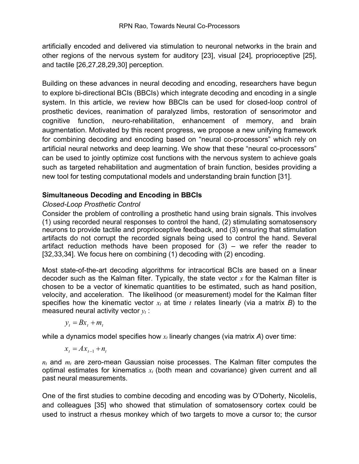artificially encoded and delivered via stimulation to neuronal networks in the brain and other regions of the nervous system for auditory [23], visual [24], proprioceptive [25], and tactile [26,27,28,29,30] perception.

Building on these advances in neural decoding and encoding, researchers have begun to explore bi-directional BCIs (BBCIs) which integrate decoding and encoding in a single system. In this article, we review how BBCIs can be used for closed-loop control of prosthetic devices, reanimation of paralyzed limbs, restoration of sensorimotor and cognitive function, neuro-rehabilitation, enhancement of memory, and brain augmentation. Motivated by this recent progress, we propose a new unifying framework for combining decoding and encoding based on "neural co-processors" which rely on artificial neural networks and deep learning. We show that these "neural co-processors" can be used to jointly optimize cost functions with the nervous system to achieve goals such as targeted rehabilitation and augmentation of brain function, besides providing a new tool for testing computational models and understanding brain function [31].

### **Simultaneous Decoding and Encoding in BBCIs**

### *Closed-Loop Prosthetic Control*

Consider the problem of controlling a prosthetic hand using brain signals. This involves (1) using recorded neural responses to control the hand, (2) stimulating somatosensory neurons to provide tactile and proprioceptive feedback, and (3) ensuring that stimulation artifacts do not corrupt the recorded signals being used to control the hand. Several artifact reduction methods have been proposed for  $(3)$  – we refer the reader to [32,33,34]. We focus here on combining (1) decoding with (2) encoding.

Most state-of-the-art decoding algorithms for intracortical BCIs are based on a linear decoder such as the Kalman filter. Typically, the state vector *x* for the Kalman filter is chosen to be a vector of kinematic quantities to be estimated, such as hand position, velocity, and acceleration. The likelihood (or measurement) model for the Kalman filter specifies how the kinematic vector  $x_t$  at time  $t$  relates linearly (via a matrix  $B$ ) to the measured neural activity vector *yt* :

$$
y_t = Bx_t + m_t
$$

while a dynamics model specifies how  $x_t$  linearly changes (via matrix A) over time:

$$
x_t = Ax_{t-1} + n_t
$$

 $n_t$  and  $m_t$  are zero-mean Gaussian noise processes. The Kalman filter computes the optimal estimates for kinematics  $x_t$  (both mean and covariance) given current and all past neural measurements.

One of the first studies to combine decoding and encoding was by O'Doherty, Nicolelis, and colleagues [35] who showed that stimulation of somatosensory cortex could be used to instruct a rhesus monkey which of two targets to move a cursor to; the cursor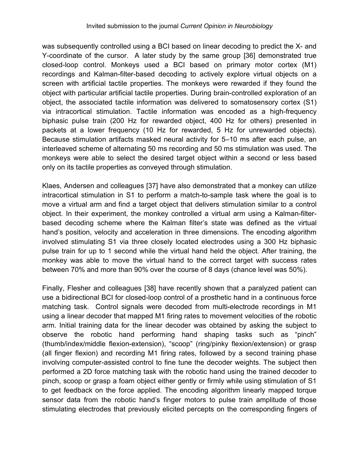was subsequently controlled using a BCI based on linear decoding to predict the X- and Y-coordinate of the cursor. A later study by the same group [36] demonstrated true closed-loop control. Monkeys used a BCI based on primary motor cortex (M1) recordings and Kalman-filter-based decoding to actively explore virtual objects on a screen with artificial tactile properties. The monkeys were rewarded if they found the object with particular artificial tactile properties. During brain-controlled exploration of an object, the associated tactile information was delivered to somatosensory cortex (S1) via intracortical stimulation. Tactile information was encoded as a high-frequency biphasic pulse train (200 Hz for rewarded object, 400 Hz for others) presented in packets at a lower frequency (10 Hz for rewarded, 5 Hz for unrewarded objects). Because stimulation artifacts masked neural activity for 5–10 ms after each pulse, an interleaved scheme of alternating 50 ms recording and 50 ms stimulation was used. The monkeys were able to select the desired target object within a second or less based only on its tactile properties as conveyed through stimulation.

Klaes, Andersen and colleagues [37] have also demonstrated that a monkey can utilize intracortical stimulation in S1 to perform a match-to-sample task where the goal is to move a virtual arm and find a target object that delivers stimulation similar to a control object. In their experiment, the monkey controlled a virtual arm using a Kalman-filterbased decoding scheme where the Kalman filter's state was defined as the virtual hand's position, velocity and acceleration in three dimensions. The encoding algorithm involved stimulating S1 via three closely located electrodes using a 300 Hz biphasic pulse train for up to 1 second while the virtual hand held the object. After training, the monkey was able to move the virtual hand to the correct target with success rates between 70% and more than 90% over the course of 8 days (chance level was 50%).

Finally, Flesher and colleagues [38] have recently shown that a paralyzed patient can use a bidirectional BCI for closed-loop control of a prosthetic hand in a continuous force matching task. Control signals were decoded from multi-electrode recordings in M1 using a linear decoder that mapped M1 firing rates to movement velocities of the robotic arm. Initial training data for the linear decoder was obtained by asking the subject to observe the robotic hand performing hand shaping tasks such as "pinch" (thumb/index/middle flexion-extension), "scoop" (ring/pinky flexion/extension) or grasp (all finger flexion) and recording M1 firing rates, followed by a second training phase involving computer-assisted control to fine tune the decoder weights. The subject then performed a 2D force matching task with the robotic hand using the trained decoder to pinch, scoop or grasp a foam object either gently or firmly while using stimulation of S1 to get feedback on the force applied. The encoding algorithm linearly mapped torque sensor data from the robotic hand's finger motors to pulse train amplitude of those stimulating electrodes that previously elicited percepts on the corresponding fingers of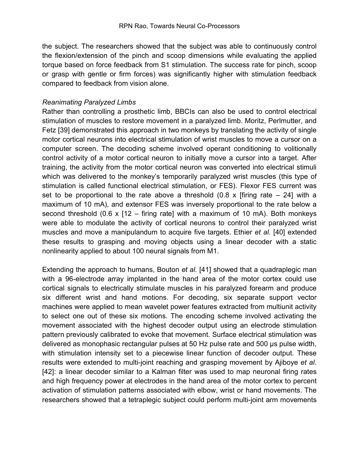the subject. The researchers showed that the subject was able to continuously control the flexion/extension of the pinch and scoop dimensions while evaluating the applied torque based on force feedback from S1 stimulation. The success rate for pinch, scoop or grasp with gentle or firm forces) was significantly higher with stimulation feedback compared to feedback from vision alone.

#### *Reanimating Paralyzed Limbs*

Rather than controlling a prosthetic limb, BBCIs can also be used to control electrical stimulation of muscles to restore movement in a paralyzed limb. Moritz, Perlmutter, and Fetz [39] demonstrated this approach in two monkeys by translating the activity of single motor cortical neurons into electrical stimulation of wrist muscles to move a cursor on a computer screen. The decoding scheme involved operant conditioning to volitionally control activity of a motor cortical neuron to initially move a cursor into a target. After training, the activity from the motor cortical neuron was converted into electrical stimuli which was delivered to the monkey's temporarily paralyzed wrist muscles (this type of stimulation is called functional electrical stimulation, or FES). Flexor FES current was set to be proportional to the rate above a threshold  $(0.8 \times$  [firing rate – 24] with a maximum of 10 mA), and extensor FES was inversely proportional to the rate below a second threshold  $(0.6 \times 12 - \text{firing rate}]$  with a maximum of 10 mA). Both monkeys were able to modulate the activity of cortical neurons to control their paralyzed wrist muscles and move a manipulandum to acquire five targets. Ethier *et al.* [40] extended these results to grasping and moving objects using a linear decoder with a static nonlinearity applied to about 100 neural signals from M1.

Extending the approach to humans, Bouton *et al.* [41] showed that a quadraplegic man with a 96-electrode array implanted in the hand area of the motor cortex could use cortical signals to electrically stimulate muscles in his paralyzed forearm and produce six different wrist and hand motions. For decoding, six separate support vector machines were applied to mean wavelet power features extracted from multiunit activity to select one out of these six motions. The encoding scheme involved activating the movement associated with the highest decoder output using an electrode stimulation pattern previously calibrated to evoke that movement. Surface electrical stimulation was delivered as monophasic rectangular pulses at 50 Hz pulse rate and 500 μs pulse width, with stimulation intensity set to a piecewise linear function of decoder output. These results were extended to multi-joint reaching and grasping movement by Ajiboye *et al.* [42]: a linear decoder similar to a Kalman filter was used to map neuronal firing rates and high frequency power at electrodes in the hand area of the motor cortex to percent activation of stimulation patterns associated with elbow, wrist or hand movements. The researchers showed that a tetraplegic subject could perform multi-joint arm movements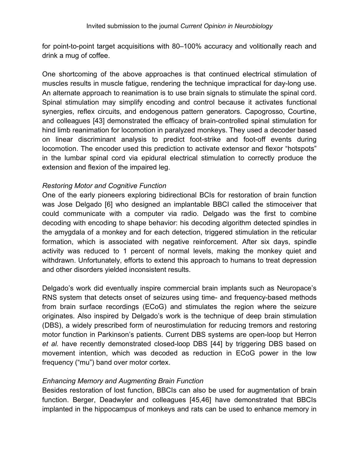for point-to-point target acquisitions with 80–100% accuracy and volitionally reach and drink a mug of coffee.

One shortcoming of the above approaches is that continued electrical stimulation of muscles results in muscle fatigue, rendering the technique impractical for day-long use. An alternate approach to reanimation is to use brain signals to stimulate the spinal cord. Spinal stimulation may simplify encoding and control because it activates functional synergies, reflex circuits, and endogenous pattern generators. Capogrosso, Courtine, and colleagues [43] demonstrated the efficacy of brain-controlled spinal stimulation for hind limb reanimation for locomotion in paralyzed monkeys. They used a decoder based on linear discriminant analysis to predict foot-strike and foot-off events during locomotion. The encoder used this prediction to activate extensor and flexor "hotspots" in the lumbar spinal cord via epidural electrical stimulation to correctly produce the extension and flexion of the impaired leg.

### *Restoring Motor and Cognitive Function*

One of the early pioneers exploring bidirectional BCIs for restoration of brain function was Jose Delgado [6] who designed an implantable BBCI called the stimoceiver that could communicate with a computer via radio. Delgado was the first to combine decoding with encoding to shape behavior: his decoding algorithm detected spindles in the amygdala of a monkey and for each detection, triggered stimulation in the reticular formation, which is associated with negative reinforcement. After six days, spindle activity was reduced to 1 percent of normal levels, making the monkey quiet and withdrawn. Unfortunately, efforts to extend this approach to humans to treat depression and other disorders yielded inconsistent results.

Delgado's work did eventually inspire commercial brain implants such as Neuropace's RNS system that detects onset of seizures using time- and frequency-based methods from brain surface recordings (ECoG) and stimulates the region where the seizure originates. Also inspired by Delgado's work is the technique of deep brain stimulation (DBS), a widely prescribed form of neurostimulation for reducing tremors and restoring motor function in Parkinson's patients. Current DBS systems are open-loop but Herron *et al.* have recently demonstrated closed-loop DBS [44] by triggering DBS based on movement intention, which was decoded as reduction in ECoG power in the low frequency ("mu") band over motor cortex.

## *Enhancing Memory and Augmenting Brain Function*

Besides restoration of lost function, BBCIs can also be used for augmentation of brain function. Berger, Deadwyler and colleagues [45,46] have demonstrated that BBCIs implanted in the hippocampus of monkeys and rats can be used to enhance memory in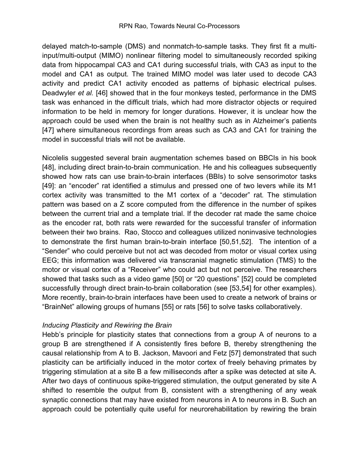delayed match-to-sample (DMS) and nonmatch-to-sample tasks. They first fit a multiinput/multi-output (MIMO) nonlinear filtering model to simultaneously recorded spiking data from hippocampal CA3 and CA1 during successful trials, with CA3 as input to the model and CA1 as output. The trained MIMO model was later used to decode CA3 activity and predict CA1 activity encoded as patterns of biphasic electrical pulses. Deadwyler *et al.* [46] showed that in the four monkeys tested, performance in the DMS task was enhanced in the difficult trials, which had more distractor objects or required information to be held in memory for longer durations. However, it is unclear how the approach could be used when the brain is not healthy such as in Alzheimer's patients [47] where simultaneous recordings from areas such as CA3 and CA1 for training the model in successful trials will not be available.

Nicolelis suggested several brain augmentation schemes based on BBCIs in his book [48], including direct brain-to-brain communication. He and his colleagues subsequently showed how rats can use brain-to-brain interfaces (BBIs) to solve sensorimotor tasks [49]: an "encoder" rat identified a stimulus and pressed one of two levers while its M1 cortex activity was transmitted to the M1 cortex of a "decoder" rat. The stimulation pattern was based on a Z score computed from the difference in the number of spikes between the current trial and a template trial. If the decoder rat made the same choice as the encoder rat, both rats were rewarded for the successful transfer of information between their two brains. Rao, Stocco and colleagues utilized noninvasive technologies to demonstrate the first human brain-to-brain interface [50,51,52]. The intention of a "Sender" who could perceive but not act was decoded from motor or visual cortex using EEG; this information was delivered via transcranial magnetic stimulation (TMS) to the motor or visual cortex of a "Receiver" who could act but not perceive. The researchers showed that tasks such as a video game [50] or "20 questions" [52] could be completed successfully through direct brain-to-brain collaboration (see [53,54] for other examples). More recently, brain-to-brain interfaces have been used to create a network of brains or "BrainNet" allowing groups of humans [55] or rats [56] to solve tasks collaboratively.

#### *Inducing Plasticity and Rewiring the Brain*

Hebb's principle for plasticity states that connections from a group A of neurons to a group B are strengthened if A consistently fires before B, thereby strengthening the causal relationship from A to B. Jackson, Mavoori and Fetz [57] demonstrated that such plasticity can be artificially induced in the motor cortex of freely behaving primates by triggering stimulation at a site B a few milliseconds after a spike was detected at site A. After two days of continuous spike-triggered stimulation, the output generated by site A shifted to resemble the output from B, consistent with a strengthening of any weak synaptic connections that may have existed from neurons in A to neurons in B. Such an approach could be potentially quite useful for neurorehabilitation by rewiring the brain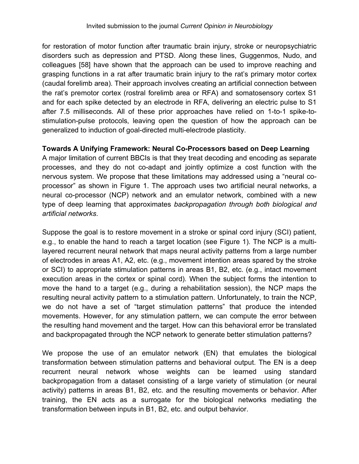for restoration of motor function after traumatic brain injury, stroke or neuropsychiatric disorders such as depression and PTSD. Along these lines, Guggenmos, Nudo, and colleagues [58] have shown that the approach can be used to improve reaching and grasping functions in a rat after traumatic brain injury to the rat's primary motor cortex (caudal forelimb area). Their approach involves creating an artificial connection between the rat's premotor cortex (rostral forelimb area or RFA) and somatosensory cortex S1 and for each spike detected by an electrode in RFA, delivering an electric pulse to S1 after 7.5 milliseconds. All of these prior approaches have relied on 1-to-1 spike-tostimulation-pulse protocols, leaving open the question of how the approach can be generalized to induction of goal-directed multi-electrode plasticity.

### **Towards A Unifying Framework: Neural Co-Processors based on Deep Learning**

A major limitation of current BBCIs is that they treat decoding and encoding as separate processes, and they do not co-adapt and jointly optimize a cost function with the nervous system. We propose that these limitations may addressed using a "neural coprocessor" as shown in Figure 1. The approach uses two artificial neural networks, a neural co-processor (NCP) network and an emulator network, combined with a new type of deep learning that approximates *backpropagation through both biological and artificial networks*.

Suppose the goal is to restore movement in a stroke or spinal cord injury (SCI) patient, e.g., to enable the hand to reach a target location (see Figure 1). The NCP is a multilayered recurrent neural network that maps neural activity patterns from a large number of electrodes in areas A1, A2, etc. (e.g., movement intention areas spared by the stroke or SCI) to appropriate stimulation patterns in areas B1, B2, etc. (e.g., intact movement execution areas in the cortex or spinal cord). When the subject forms the intention to move the hand to a target (e.g., during a rehabilitation session), the NCP maps the resulting neural activity pattern to a stimulation pattern. Unfortunately, to train the NCP, we do not have a set of "target stimulation patterns" that produce the intended movements. However, for any stimulation pattern, we can compute the error between the resulting hand movement and the target. How can this behavioral error be translated and backpropagated through the NCP network to generate better stimulation patterns?

We propose the use of an emulator network (EN) that emulates the biological transformation between stimulation patterns and behavioral output. The EN is a deep recurrent neural network whose weights can be learned using standard backpropagation from a dataset consisting of a large variety of stimulation (or neural activity) patterns in areas B1, B2, etc. and the resulting movements or behavior. After training, the EN acts as a surrogate for the biological networks mediating the transformation between inputs in B1, B2, etc. and output behavior.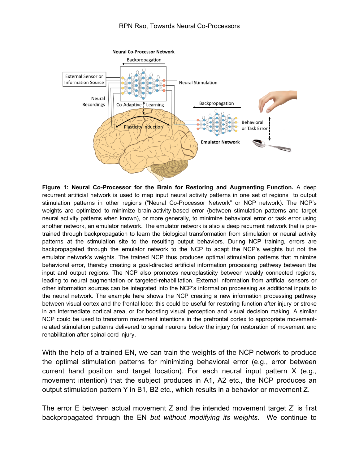#### RPN Rao, Towards Neural Co-Processors



**Figure 1: Neural Co-Processor for the Brain for Restoring and Augmenting Function.** A deep recurrent artificial network is used to map input neural activity patterns in one set of regions to output stimulation patterns in other regions ("Neural Co-Processor Network" or NCP network). The NCP's weights are optimized to minimize brain-activity-based error (between stimulation patterns and target neural activity patterns when known), or more generally, to minimize behavioral error or task error using another network, an emulator network. The emulator network is also a deep recurrent network that is pretrained through backpropagation to learn the biological transformation from stimulation or neural activity patterns at the stimulation site to the resulting output behaviors. During NCP training, errors are backpropagated through the emulator network to the NCP to adapt the NCP's weights but not the emulator network's weights. The trained NCP thus produces optimal stimulation patterns that minimize behavioral error, thereby creating a goal-directed artificial information processing pathway between the input and output regions. The NCP also promotes neuroplasticity between weakly connected regions, leading to neural augmentation or targeted-rehabilitation. External information from artificial sensors or other information sources can be integrated into the NCP's information processing as additional inputs to the neural network. The example here shows the NCP creating a new information processing pathway between visual cortex and the frontal lobe: this could be useful for restoring function after injury or stroke in an intermediate cortical area, or for boosting visual perception and visual decision making. A similar NCP could be used to transform movement intentions in the prefrontal cortex to appropriate movementrelated stimulation patterns delivered to spinal neurons below the injury for restoration of movement and rehabilitation after spinal cord injury.

With the help of a trained EN, we can train the weights of the NCP network to produce the optimal stimulation patterns for minimizing behavioral error (e.g., error between current hand position and target location). For each neural input pattern X (e.g., movement intention) that the subject produces in A1, A2 etc., the NCP produces an output stimulation pattern Y in B1, B2 etc., which results in a behavior or movement Z.

The error E between actual movement Z and the intended movement target Z' is first backpropagated through the EN *but without modifying its weights*. We continue to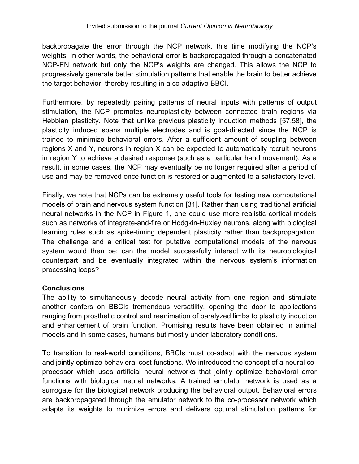backpropagate the error through the NCP network, this time modifying the NCP's weights. In other words, the behavioral error is backpropagated through a concatenated NCP-EN network but only the NCP's weights are changed. This allows the NCP to progressively generate better stimulation patterns that enable the brain to better achieve the target behavior, thereby resulting in a co-adaptive BBCI.

Furthermore, by repeatedly pairing patterns of neural inputs with patterns of output stimulation, the NCP promotes neuroplasticity between connected brain regions via Hebbian plasticity. Note that unlike previous plasticity induction methods [57,58], the plasticity induced spans multiple electrodes and is goal-directed since the NCP is trained to minimize behavioral errors. After a sufficient amount of coupling between regions X and Y, neurons in region X can be expected to automatically recruit neurons in region Y to achieve a desired response (such as a particular hand movement). As a result, in some cases, the NCP may eventually be no longer required after a period of use and may be removed once function is restored or augmented to a satisfactory level.

Finally, we note that NCPs can be extremely useful tools for testing new computational models of brain and nervous system function [31]. Rather than using traditional artificial neural networks in the NCP in Figure 1, one could use more realistic cortical models such as networks of integrate-and-fire or Hodgkin-Huxley neurons, along with biological learning rules such as spike-timing dependent plasticity rather than backpropagation. The challenge and a critical test for putative computational models of the nervous system would then be: can the model successfully interact with its neurobiological counterpart and be eventually integrated within the nervous system's information processing loops?

#### **Conclusions**

The ability to simultaneously decode neural activity from one region and stimulate another confers on BBCIs tremendous versatility, opening the door to applications ranging from prosthetic control and reanimation of paralyzed limbs to plasticity induction and enhancement of brain function. Promising results have been obtained in animal models and in some cases, humans but mostly under laboratory conditions.

To transition to real-world conditions, BBCIs must co-adapt with the nervous system and jointly optimize behavioral cost functions. We introduced the concept of a neural coprocessor which uses artificial neural networks that jointly optimize behavioral error functions with biological neural networks. A trained emulator network is used as a surrogate for the biological network producing the behavioral output. Behavioral errors are backpropagated through the emulator network to the co-processor network which adapts its weights to minimize errors and delivers optimal stimulation patterns for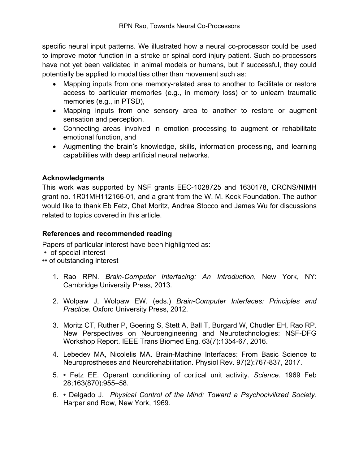specific neural input patterns. We illustrated how a neural co-processor could be used to improve motor function in a stroke or spinal cord injury patient. Such co-processors have not yet been validated in animal models or humans, but if successful, they could potentially be applied to modalities other than movement such as:

- Mapping inputs from one memory-related area to another to facilitate or restore access to particular memories (e.g., in memory loss) or to unlearn traumatic memories (e.g., in PTSD),
- Mapping inputs from one sensory area to another to restore or augment sensation and perception,
- Connecting areas involved in emotion processing to augment or rehabilitate emotional function, and
- Augmenting the brain's knowledge, skills, information processing, and learning capabilities with deep artificial neural networks.

## **Acknowledgments**

This work was supported by NSF grants EEC-1028725 and 1630178, CRCNS/NIMH grant no. 1R01MH112166-01, and a grant from the W. M. Keck Foundation. The author would like to thank Eb Fetz, Chet Moritz, Andrea Stocco and James Wu for discussions related to topics covered in this article.

## **References and recommended reading**

Papers of particular interest have been highlighted as:

- of special interest
- **••** of outstanding interest
	- 1. Rao RPN. *Brain-Computer Interfacing: An Introduction*, New York, NY: Cambridge University Press, 2013.
	- 2. Wolpaw J, Wolpaw EW. (eds.) *Brain-Computer Interfaces: Principles and Practice*. Oxford University Press, 2012.
	- 3. Moritz CT, Ruther P, Goering S, Stett A, Ball T, Burgard W, Chudler EH, Rao RP. New Perspectives on Neuroengineering and Neurotechnologies: NSF-DFG Workshop Report. IEEE Trans Biomed Eng. 63(7):1354-67, 2016.
	- 4. Lebedev MA, Nicolelis MA. Brain-Machine Interfaces: From Basic Science to Neuroprostheses and Neurorehabilitation. Physiol Rev. 97(2):767-837, 2017.
	- 5. **•** Fetz EE. Operant conditioning of cortical unit activity. *Science*. 1969 Feb 28;163(870):955–58.
	- 6. **•** Delgado J. *Physical Control of the Mind: Toward a Psychocivilized Society*. Harper and Row, New York, 1969.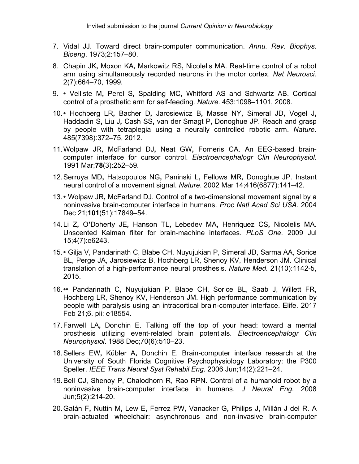- 7. Vidal JJ. Toward direct brain-computer communication. *Annu. Rev. Biophys. Bioeng*. 1973;2:157–80.
- 8. Chapin JK**,** Moxon KA**,** Markowitz RS**,** Nicolelis MA. Real-time control of a robot arm using simultaneously recorded neurons in the motor cortex. *Nat Neurosci*. 2(7):664–70, 1999.
- 9. **•** Velliste M**,** Perel S**,** Spalding MC**,** Whitford AS and Schwartz AB. Cortical control of a prosthetic arm for self-feeding. *Nature*. 453:1098–1101, 2008.
- 10.**•** Hochberg LR**,** Bacher D**,** Jarosiewicz B**,** Masse NY**,** Simeral JD**,** Vogel J**,**  Haddadin S**,** Liu J**,** Cash SS**,** van der Smagt P**,** Donoghue JP. Reach and grasp by people with tetraplegia using a neurally controlled robotic arm. *Nature.* 485(7398):372–75, 2012.
- 11.Wolpaw JR**,** McFarland DJ**,** Neat GW**,** Forneris CA. An EEG-based braincomputer interface for cursor control. *Electroencephalogr Clin Neurophysiol*. 1991 Mar;**78**(3):252–59.
- 12.Serruya MD**,** Hatsopoulos NG**,** Paninski L**,** Fellows MR**,** Donoghue JP. Instant neural control of a movement signal. *Nature*. 2002 Mar 14;416(6877):141–42.
- 13.**•** Wolpaw JR**,** McFarland DJ. Control of a two-dimensional movement signal by a noninvasive brain-computer interface in humans. *Proc Natl Acad Sci USA*. 2004 Dec 21;**101**(51):17849–54.
- 14.Li Z**,** O**'**Doherty JE**,** Hanson TL**,** Lebedev MA**,** Henriquez CS**,** Nicolelis MA. Unscented Kalman filter for brain-machine interfaces. *PLoS One*. 2009 Jul 15;4(7):e6243.
- 15.**•** Gilja V, Pandarinath C, Blabe CH, Nuyujukian P, Simeral JD, Sarma AA, Sorice BL, Perge JA, Jarosiewicz B, Hochberg LR, Shenoy KV, Henderson JM. Clinical translation of a high-performance neural prosthesis. *Nature Med.* 21(10):1142-5, 2015.
- 16.**••** Pandarinath C, Nuyujukian P, Blabe CH, Sorice BL, Saab J, Willett FR, Hochberg LR, Shenoy KV, Henderson JM. High performance communication by people with paralysis using an intracortical brain-computer interface. Elife. 2017 Feb 21;6. pii: e18554.
- 17.Farwell LA**,** Donchin E. Talking off the top of your head: toward a mental prosthesis utilizing event-related brain potentials. *Electroencephalogr Clin Neurophysiol*. 1988 Dec;70(6):510–23.
- 18.Sellers EW**,** Kübler A**,** Donchin E. Brain-computer interface research at the University of South Florida Cognitive Psychophysiology Laboratory: the P300 Speller. *IEEE Trans Neural Syst Rehabil Eng*. 2006 Jun;14(2):221–24.
- 19.Bell CJ, Shenoy P, Chalodhorn R, Rao RPN. Control of a humanoid robot by a noninvasive brain-computer interface in humans. *J Neural Eng.* 2008 Jun;5(2):214-20.
- 20.Galán F**,** Nuttin M**,** Lew E**,** Ferrez PW**,** Vanacker G**,** Philips J**,** Millán J del R. A brain-actuated wheelchair: asynchronous and non-invasive brain-computer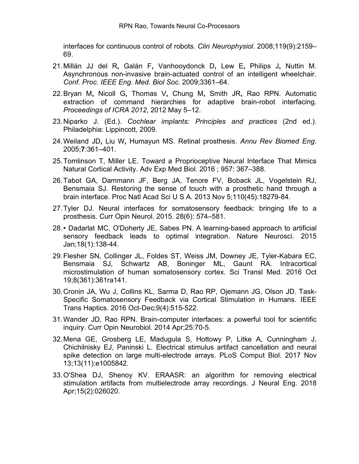interfaces for continuous control of robots. *Clin Neurophysiol*. 2008;119(9):2159– 69.

- 21.Millán JJ del R**,** Galán F**,** Vanhooydonck D**,** Lew E**,** Philips J**,** Nuttin M. Asynchronous non-invasive brain-actuated control of an intelligent wheelchair. *Conf. Proc. IEEE Eng. Med. Biol Soc*. 2009;3361–64.
- 22.Bryan M**,** Nicoll G**,** Thomas V**,** Chung M**,** Smith JR**,** Rao RPN. Automatic extraction of command hierarchies for adaptive brain-robot interfacing. *Proceedings of ICRA 2012*, 2012 May 5–12.
- 23.Niparko J. (Ed.). *Cochlear implants: Principles and practices* (2nd ed.). Philadelphia: Lippincott, 2009.
- 24.Weiland JD**,** Liu W**,** Humayun MS. Retinal prosthesis. *Annu Rev Biomed Eng*. 2005;**7**:361–401.
- 25.Tomlinson T, Miller LE. Toward a Proprioceptive Neural Interface That Mimics Natural Cortical Activity. Adv Exp Med Biol. 2016 ; 957: 367–388.
- 26.Tabot GA, Dammann JF, Berg JA, Tenore FV, Boback JL, Vogelstein RJ, Bensmaia SJ. Restoring the sense of touch with a prosthetic hand through a brain interface. Proc Natl Acad Sci U S A. 2013 Nov 5;110(45):18279-84.
- 27.Tyler DJ. Neural interfaces for somatosensory feedback: bringing life to a prosthesis. Curr Opin Neurol. 2015. 28(6): 574–581.
- 28.**•** Dadarlat MC, O'Doherty JE, Sabes PN. A learning-based approach to artificial sensory feedback leads to optimal integration. Nature Neurosci. 2015 Jan;18(1):138-44.
- 29.Flesher SN, Collinger JL, Foldes ST, Weiss JM, Downey JE, Tyler-Kabara EC, Bensmaia SJ, Schwartz AB, Boninger ML, Gaunt RA. Intracortical microstimulation of human somatosensory cortex. Sci Transl Med. 2016 Oct 19;8(361):361ra141.
- 30.Cronin JA, Wu J, Collins KL, Sarma D, Rao RP, Ojemann JG, Olson JD. Task-Specific Somatosensory Feedback via Cortical Stimulation in Humans. IEEE Trans Haptics. 2016 Oct-Dec;9(4):515-522.
- 31.Wander JD, Rao RPN. Brain-computer interfaces: a powerful tool for scientific inquiry. Curr Opin Neurobiol. 2014 Apr;25:70-5.
- 32.Mena GE, Grosberg LE, Madugula S, Hottowy P, Litke A, Cunningham J, Chichilnisky EJ, Paninski L. Electrical stimulus artifact cancellation and neural spike detection on large multi-electrode arrays. PLoS Comput Biol. 2017 Nov 13;13(11):e1005842.
- 33.O'Shea DJ, Shenoy KV. ERAASR: an algorithm for removing electrical stimulation artifacts from multielectrode array recordings. J Neural Eng. 2018 Apr;15(2):026020.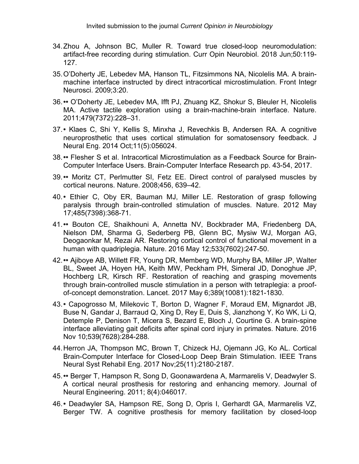- 34.Zhou A, Johnson BC, Muller R. Toward true closed-loop neuromodulation: artifact-free recording during stimulation. Curr Opin Neurobiol. 2018 Jun;50:119- 127.
- 35.O'Doherty JE, Lebedev MA, Hanson TL, Fitzsimmons NA, Nicolelis MA. A brainmachine interface instructed by direct intracortical microstimulation. Front Integr Neurosci. 2009;3:20.
- 36.**••** O'Doherty JE, Lebedev MA, Ifft PJ, Zhuang KZ, Shokur S, Bleuler H, Nicolelis MA. Active tactile exploration using a brain-machine-brain interface. Nature. 2011;479(7372):228–31.
- 37.**•** Klaes C, Shi Y, Kellis S, Minxha J, Revechkis B, Andersen RA. A cognitive neuroprosthetic that uses cortical stimulation for somatosensory feedback. J Neural Eng. 2014 Oct;11(5):056024.
- 38.**••** Flesher S et al. Intracortical Microstimulation as a Feedback Source for Brain-Computer Interface Users. Brain-Computer Interface Research pp. 43-54, 2017.
- 39.**••** Moritz CT, Perlmutter SI, Fetz EE. Direct control of paralysed muscles by cortical neurons. Nature. 2008;456, 639–42.
- 40.**•** Ethier C, Oby ER, Bauman MJ, Miller LE. Restoration of grasp following paralysis through brain-controlled stimulation of muscles. Nature. 2012 May 17;485(7398):368-71.
- 41.**••** Bouton CE, Shaikhouni A, Annetta NV, Bockbrader MA, Friedenberg DA, Nielson DM, Sharma G, Sederberg PB, Glenn BC, Mysiw WJ, Morgan AG, Deogaonkar M, Rezai AR. Restoring cortical control of functional movement in a human with quadriplegia. Nature. 2016 May 12;533(7602):247-50.
- 42.**••** Ajiboye AB, Willett FR, Young DR, Memberg WD, Murphy BA, Miller JP, Walter BL, Sweet JA, Hoyen HA, Keith MW, Peckham PH, Simeral JD, Donoghue JP, Hochberg LR, Kirsch RF. Restoration of reaching and grasping movements through brain-controlled muscle stimulation in a person with tetraplegia: a proofof-concept demonstration. Lancet. 2017 May 6;389(10081):1821-1830.
- 43.**•** Capogrosso M, Milekovic T, Borton D, Wagner F, Moraud EM, Mignardot JB, Buse N, Gandar J, Barraud Q, Xing D, Rey E, Duis S, Jianzhong Y, Ko WK, Li Q, Detemple P, Denison T, Micera S, Bezard E, Bloch J, Courtine G. A brain-spine interface alleviating gait deficits after spinal cord injury in primates. Nature. 2016 Nov 10;539(7628):284-288.
- 44.Herron JA, Thompson MC, Brown T, Chizeck HJ, Ojemann JG, Ko AL. Cortical Brain-Computer Interface for Closed-Loop Deep Brain Stimulation. IEEE Trans Neural Syst Rehabil Eng. 2017 Nov;25(11):2180-2187.
- 45.**••** Berger T, Hampson R, Song D, Goonawardena A, Marmarelis V, Deadwyler S. A cortical neural prosthesis for restoring and enhancing memory. Journal of Neural Engineering. 2011; 8(4):046017.
- 46.**•** Deadwyler SA, Hampson RE, Song D, Opris I, Gerhardt GA, Marmarelis VZ, Berger TW. A cognitive prosthesis for memory facilitation by closed-loop